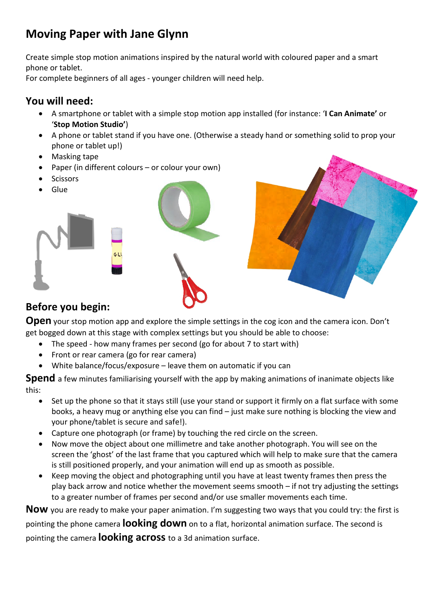# **Moving Paper with Jane Glynn**

Create simple stop motion animations inspired by the natural world with coloured paper and a smart phone or tablet.

For complete beginners of all ages - younger children will need help.

## **You will need:**

- A smartphone or tablet with a simple stop motion app installed (for instance: '**I Can Animate'** or '**Stop Motion Studio'**)
- A phone or tablet stand if you have one. (Otherwise a steady hand or something solid to prop your phone or tablet up!)
- Masking tape
- Paper (in different colours or colour your own)
- **Scissors**
- Glue







# **Before you begin:**

**Open** your stop motion app and explore the simple settings in the cog icon and the camera icon. Don't get bogged down at this stage with complex settings but you should be able to choose:

- The speed how many frames per second (go for about 7 to start with)
- Front or rear camera (go for rear camera)
- White balance/focus/exposure leave them on automatic if you can

**Spend** a few minutes familiarising yourself with the app by making animations of inanimate objects like this:

- Set up the phone so that it stays still (use your stand or support it firmly on a flat surface with some books, a heavy mug or anything else you can find – just make sure nothing is blocking the view and your phone/tablet is secure and safe!).
- Capture one photograph (or frame) by touching the red circle on the screen.
- Now move the object about one millimetre and take another photograph. You will see on the screen the 'ghost' of the last frame that you captured which will help to make sure that the camera is still positioned properly, and your animation will end up as smooth as possible.
- Keep moving the object and photographing until you have at least twenty frames then press the play back arrow and notice whether the movement seems smooth – if not try adjusting the settings to a greater number of frames per second and/or use smaller movements each time.

**Now** you are ready to make your paper animation. I'm suggesting two ways that you could try: the first is pointing the phone camera **looking down** on to a flat, horizontal animation surface. The second is pointing the camera **looking across** to a 3d animation surface.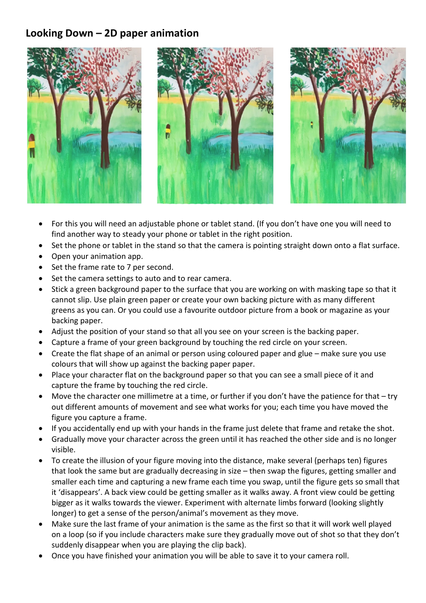### **Looking Down – 2D paper animation**



- For this you will need an adjustable phone or tablet stand. (If you don't have one you will need to find another way to steady your phone or tablet in the right position.
- Set the phone or tablet in the stand so that the camera is pointing straight down onto a flat surface.
- Open your animation app.
- Set the frame rate to 7 per second.
- Set the camera settings to auto and to rear camera.
- Stick a green background paper to the surface that you are working on with masking tape so that it cannot slip. Use plain green paper or create your own backing picture with as many different greens as you can. Or you could use a favourite outdoor picture from a book or magazine as your backing paper.
- Adjust the position of your stand so that all you see on your screen is the backing paper.
- Capture a frame of your green background by touching the red circle on your screen.
- Create the flat shape of an animal or person using coloured paper and glue make sure you use colours that will show up against the backing paper paper.
- Place your character flat on the background paper so that you can see a small piece of it and capture the frame by touching the red circle.
- Move the character one millimetre at a time, or further if you don't have the patience for that try out different amounts of movement and see what works for you; each time you have moved the figure you capture a frame.
- If you accidentally end up with your hands in the frame just delete that frame and retake the shot.
- Gradually move your character across the green until it has reached the other side and is no longer visible.
- To create the illusion of your figure moving into the distance, make several (perhaps ten) figures that look the same but are gradually decreasing in size – then swap the figures, getting smaller and smaller each time and capturing a new frame each time you swap, until the figure gets so small that it 'disappears'. A back view could be getting smaller as it walks away. A front view could be getting bigger as it walks towards the viewer. Experiment with alternate limbs forward (looking slightly longer) to get a sense of the person/animal's movement as they move.
- Make sure the last frame of your animation is the same as the first so that it will work well played on a loop (so if you include characters make sure they gradually move out of shot so that they don't suddenly disappear when you are playing the clip back).
- Once you have finished your animation you will be able to save it to your camera roll.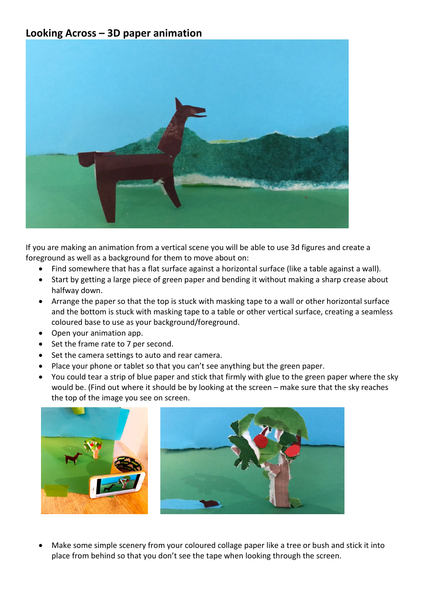#### **Looking Across – 3D paper animation**



If you are making an animation from a vertical scene you will be able to use 3d figures and create a foreground as well as a background for them to move about on:

- Find somewhere that has a flat surface against a horizontal surface (like a table against a wall).
- Start by getting a large piece of green paper and bending it without making a sharp crease about halfway down.
- Arrange the paper so that the top is stuck with masking tape to a wall or other horizontal surface and the bottom is stuck with masking tape to a table or other vertical surface, creating a seamless coloured base to use as your background/foreground.
- Open your animation app.
- Set the frame rate to 7 per second.
- Set the camera settings to auto and rear camera.
- Place your phone or tablet so that you can't see anything but the green paper.
- You could tear a strip of blue paper and stick that firmly with glue to the green paper where the sky would be. (Find out where it should be by looking at the screen – make sure that the sky reaches the top of the image you see on screen.





Make some simple scenery from your coloured collage paper like a tree or bush and stick it into place from behind so that you don't see the tape when looking through the screen.